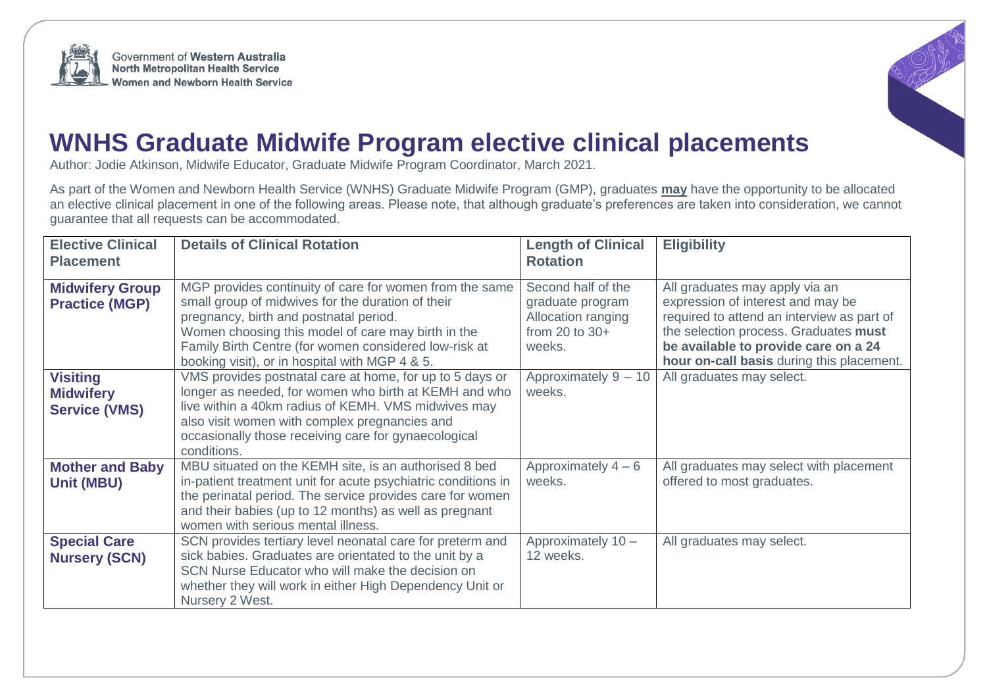



## **WNHS Graduate Midwife Program elective clinical placements**

Author: Jodie Atkinson, Midwife Educator, Graduate Midwife Program Coordinator, March 2021.

As part of the Women and Newborn Health Service (WNHS) Graduate Midwife Program (GMP), graduates **may** have the opportunity to be allocated an elective clinical placement in one of the following areas. Please note, that although graduate's preferences are taken into consideration, we cannot guarantee that all requests can be accommodated.

| <b>Elective Clinical</b><br><b>Placement</b>                | <b>Details of Clinical Rotation</b>                                                                                                                                                                                                                                                                                     | <b>Length of Clinical</b><br><b>Rotation</b>                                               | <b>Eligibility</b>                                                                                                                                                                                                                              |
|-------------------------------------------------------------|-------------------------------------------------------------------------------------------------------------------------------------------------------------------------------------------------------------------------------------------------------------------------------------------------------------------------|--------------------------------------------------------------------------------------------|-------------------------------------------------------------------------------------------------------------------------------------------------------------------------------------------------------------------------------------------------|
| <b>Midwifery Group</b><br><b>Practice (MGP)</b>             | MGP provides continuity of care for women from the same<br>small group of midwives for the duration of their<br>pregnancy, birth and postnatal period.<br>Women choosing this model of care may birth in the<br>Family Birth Centre (for women considered low-risk at<br>booking visit), or in hospital with MGP 4 & 5. | Second half of the<br>graduate program<br>Allocation ranging<br>from 20 to $30+$<br>weeks. | All graduates may apply via an<br>expression of interest and may be<br>required to attend an interview as part of<br>the selection process. Graduates must<br>be available to provide care on a 24<br>hour on-call basis during this placement. |
| <b>Visiting</b><br><b>Midwifery</b><br><b>Service (VMS)</b> | VMS provides postnatal care at home, for up to 5 days or<br>longer as needed, for women who birth at KEMH and who<br>live within a 40km radius of KEMH. VMS midwives may<br>also visit women with complex pregnancies and<br>occasionally those receiving care for gynaecological<br>conditions.                        | Approximately 9 - 10<br>weeks.                                                             | All graduates may select.                                                                                                                                                                                                                       |
| <b>Mother and Baby</b><br><b>Unit (MBU)</b>                 | MBU situated on the KEMH site, is an authorised 8 bed<br>in-patient treatment unit for acute psychiatric conditions in<br>the perinatal period. The service provides care for women<br>and their babies (up to 12 months) as well as pregnant<br>women with serious mental illness.                                     | Approximately $4-6$<br>weeks.                                                              | All graduates may select with placement<br>offered to most graduates.                                                                                                                                                                           |
| <b>Special Care</b><br><b>Nursery (SCN)</b>                 | SCN provides tertiary level neonatal care for preterm and<br>sick babies. Graduates are orientated to the unit by a<br>SCN Nurse Educator who will make the decision on<br>whether they will work in either High Dependency Unit or<br>Nursery 2 West.                                                                  | Approximately 10 -<br>12 weeks.                                                            | All graduates may select.                                                                                                                                                                                                                       |